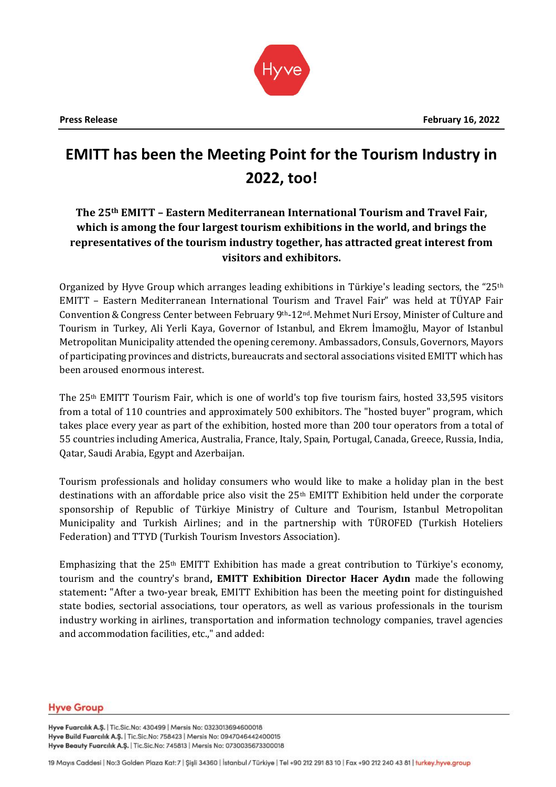

# **EMITT has been the Meeting Point for the Tourism Industry in 2022, too!**

## **The 25th EMITT – Eastern Mediterranean International Tourism and Travel Fair, which is among the four largest tourism exhibitions in the world, and brings the representatives of the tourism industry together, has attracted great interest from visitors and exhibitors.**

Organized by Hyve Group which arranges leading exhibitions in Türkiye's leading sectors, the "25<sup>th</sup> EMITT – Eastern Mediterranean International Tourism and Travel Fair" was held at TÜYAP Fair Convention & Congress Center between February 9th-12nd. Mehmet Nuri Ersoy, Minister of Culture and Tourism in Turkey, Ali Yerli Kaya, Governor of Istanbul, and Ekrem İmamoğlu, Mayor of Istanbul Metropolitan Municipality attended the opening ceremony. Ambassadors, Consuls, Governors, Mayors of participating provinces and districts, bureaucrats and sectoral associations visited EMITT which has been aroused enormous interest.

The 25th EMITT Tourism Fair, which is one of world's top five tourism fairs, hosted 33,595 visitors from a total of 110 countries and approximately 500 exhibitors. The "hosted buyer" program, which takes place every year as part of the exhibition, hosted more than 200 tour operators from a total of 55 countries including America, Australia, France, Italy, Spain, Portugal, Canada, Greece, Russia, India, Qatar, Saudi Arabia, Egypt and Azerbaijan.

Tourism professionals and holiday consumers who would like to make a holiday plan in the best destinations with an affordable price also visit the 25<sup>th</sup> EMITT Exhibition held under the corporate sponsorship of Republic of Türkiye Ministry of Culture and Tourism, Istanbul Metropolitan Municipality and Turkish Airlines; and in the partnership with TÜROFED (Turkish Hoteliers Federation) and TTYD (Turkish Tourism Investors Association).

Emphasizing that the  $25<sup>th</sup>$  EMITT Exhibition has made a great contribution to Türkiye's economy, tourism and the country's brand**, EMITT Exhibition Director Hacer Aydın** made the following statement**:** "After a two-year break, EMITT Exhibition has been the meeting point for distinguished state bodies, sectorial associations, tour operators, as well as various professionals in the tourism industry working in airlines, transportation and information technology companies, travel agencies and accommodation facilities, etc.," and added:

#### **Hyve Group**

Hyve Fuarcılık A.Ş. | Tic.Sic.No: 430499 | Mersis No: 0323013694600018 Hyve Build Fuarcılık A.Ş. | Tic.Sic.No: 758423 | Mersis No: 0947046442400015 Hyve Beauty Fuarcılık A.Ş. | Tic.Sic.No: 745813 | Mersis No: 0730035673300018

19 Mayıs Caddesi | No:3 Golden Plaza Kat: 7 | Şişli 34360 | İstanbul / Türkiye | Tel +90 212 291 83 10 | Fax +90 212 240 43 81 | turkey.hyve.group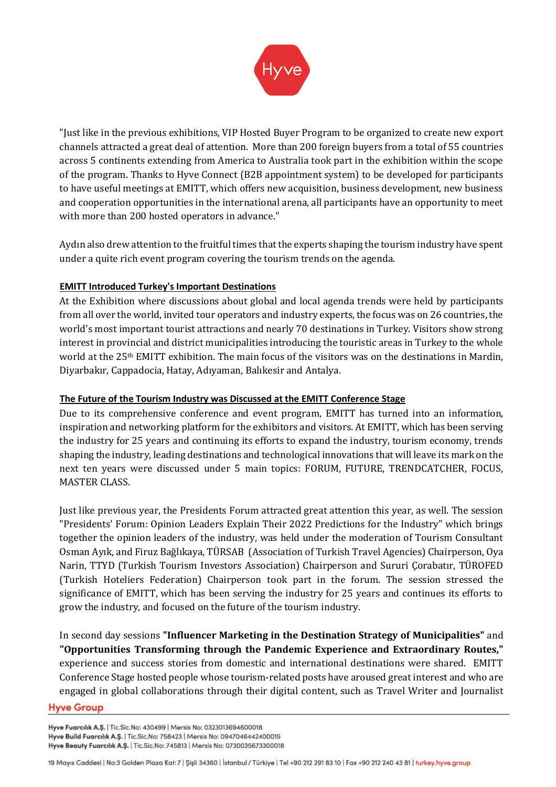

"Just like in the previous exhibitions, VIP Hosted Buyer Program to be organized to create new export channels attracted a great deal of attention. More than 200 foreign buyers from a total of 55 countries across 5 continents extending from America to Australia took part in the exhibition within the scope of the program. Thanks to Hyve Connect (B2B appointment system) to be developed for participants to have useful meetings at EMITT, which offers new acquisition, business development, new business and cooperation opportunities in the international arena, all participants have an opportunity to meet with more than 200 hosted operators in advance."

Aydın also drew attention to the fruitful times that the experts shaping the tourism industry have spent under a quite rich event program covering the tourism trends on the agenda.

## **EMITT Introduced Turkey's Important Destinations**

At the Exhibition where discussions about global and local agenda trends were held by participants from all over the world, invited tour operators and industry experts, the focus was on 26 countries, the world's most important tourist attractions and nearly 70 destinations in Turkey. Visitors show strong interest in provincial and district municipalities introducing the touristic areas in Turkey to the whole world at the 25th EMITT exhibition. The main focus of the visitors was on the destinations in Mardin, Diyarbakır, Cappadocia, Hatay, Adıyaman, Balıkesir and Antalya.

## **The Future of the Tourism Industry was Discussed at the EMITT Conference Stage**

Due to its comprehensive conference and event program, EMITT has turned into an information, inspiration and networking platform for the exhibitors and visitors. At EMITT, which has been serving the industry for 25 years and continuing its efforts to expand the industry, tourism economy, trends shaping the industry, leading destinations and technological innovations that will leave its mark on the next ten years were discussed under 5 main topics: FORUM, FUTURE, TRENDCATCHER, FOCUS, MASTER CLASS.

Just like previous year, the Presidents Forum attracted great attention this year, as well. The session "Presidents' Forum: Opinion Leaders Explain Their 2022 Predictions for the Industry" which brings together the opinion leaders of the industry, was held under the moderation of Tourism Consultant Osman Ayık, and Firuz Bağlıkaya, TÜRSAB (Association of Turkish Travel Agencies) Chairperson, Oya Narin, TTYD (Turkish Tourism Investors Association) Chairperson and Sururi Çorabatır, TÜROFED (Turkish Hoteliers Federation) Chairperson took part in the forum. The session stressed the significance of EMITT, which has been serving the industry for 25 years and continues its efforts to grow the industry, and focused on the future of the tourism industry.

In second day sessions **"Influencer Marketing in the Destination Strategy of Municipalities"** and **"Opportunities Transforming through the Pandemic Experience and Extraordinary Routes,"** experience and success stories from domestic and international destinations were shared. EMITT Conference Stage hosted people whose tourism-related posts have aroused great interest and who are engaged in global collaborations through their digital content, such as Travel Writer and Journalist

#### **Hyve Group**

Hyve Fuarcılık A.Ş. | Tic.Sic.No: 430499 | Mersis No: 0323013694600018 Hyve Build Fuarcılık A.Ş. | Tic.Sic.No: 758423 | Mersis No: 0947046442400015 Hyve Beauty Fuarcılık A.Ş. | Tic.Sic.No: 745813 | Mersis No: 0730035673300018

<sup>19</sup> Mayıs Caddesi | No:3 Golden Plaza Kat: 7 | Şişli 34360 | İstanbul / Türkiye | Tel +90 212 291 83 10 | Fax +90 212 240 43 81 | turkey.hyve.group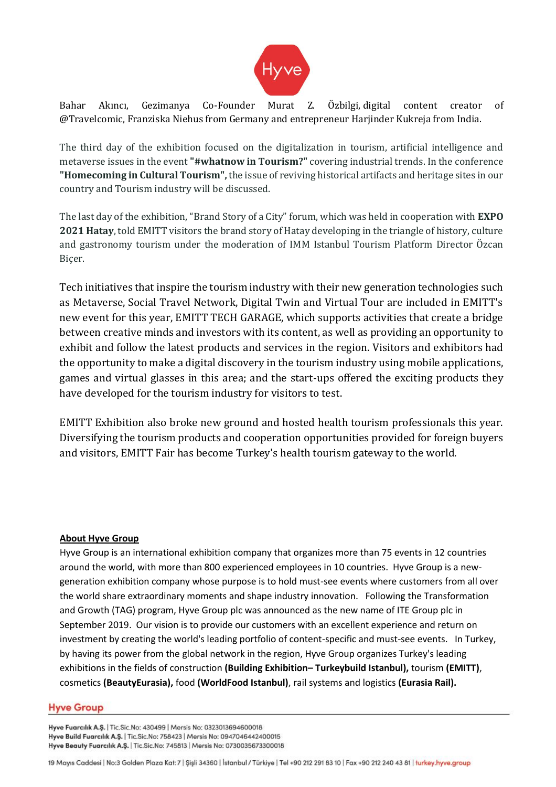

Bahar Akıncı, Gezimanya Co-Founder Murat Z. Özbilgi, digital content creator of @Travelcomic, Franziska Niehus from Germany and entrepreneur Harjinder Kukreja from India.

The third day of the exhibition focused on the digitalization in tourism, artificial intelligence and metaverse issues in the event **"#whatnow in Tourism?"** covering industrial trends. In the conference **"Homecoming in Cultural Tourism",** the issue of reviving historical artifacts and heritage sites in our country and Tourism industry will be discussed.

The last day of the exhibition, "Brand Story of a City" forum, which was held in cooperation with **EXPO 2021 Hatay**, told EMITT visitors the brand story of Hatay developing in the triangle of history, culture and gastronomy tourism under the moderation of IMM Istanbul Tourism Platform Director Özcan Biçer.

Tech initiatives that inspire the tourism industry with their new generation technologies such as Metaverse, Social Travel Network, Digital Twin and Virtual Tour are included in EMITT's new event for this year, EMITT TECH GARAGE, which supports activities that create a bridge between creative minds and investors with its content, as well as providing an opportunity to exhibit and follow the latest products and services in the region. Visitors and exhibitors had the opportunity to make a digital discovery in the tourism industry using mobile applications, games and virtual glasses in this area; and the start-ups offered the exciting products they have developed for the tourism industry for visitors to test.

EMITT Exhibition also broke new ground and hosted health tourism professionals this year. Diversifying the tourism products and cooperation opportunities provided for foreign buyers and visitors, EMITT Fair has become Turkey's health tourism gateway to the world.

## **About Hyve Group**

Hyve Group is an international exhibition company that organizes more than 75 events in 12 countries around the world, with more than 800 experienced employees in 10 countries. Hyve Group is a newgeneration exhibition company whose purpose is to hold must-see events where customers from all over the world share extraordinary moments and shape industry innovation. Following the Transformation and Growth (TAG) program, Hyve Group plc was announced as the new name of ITE Group plc in September 2019. Our vision is to provide our customers with an excellent experience and return on investment by creating the world's leading portfolio of content-specific and must-see events. In Turkey, by having its power from the global network in the region, Hyve Group organizes Turkey's leading exhibitions in the fields of construction **(Building Exhibition– Turkeybuild Istanbul),** tourism **(EMITT)**, cosmetics **(BeautyEurasia),** food **(WorldFood Istanbul)**, rail systems and logistics **(Eurasia Rail).**

#### **Hyve Group**

Hyve Fuarcılık A.Ş. | Tic.Sic.No: 430499 | Mersis No: 0323013694600018 Hyve Build Fuarcılık A.Ş. | Tic.Sic.No: 758423 | Mersis No: 0947046442400015 Hyve Beauty Fuarcılık A.Ş. | Tic.Sic.No: 745813 | Mersis No: 0730035673300018

19 Mayıs Caddesi | No:3 Golden Plaza Kat: 7 | Şişli 34360 | İstanbul / Türkiye | Tel +90 212 291 83 10 | Fax +90 212 240 43 81 | turkey.hyve.group